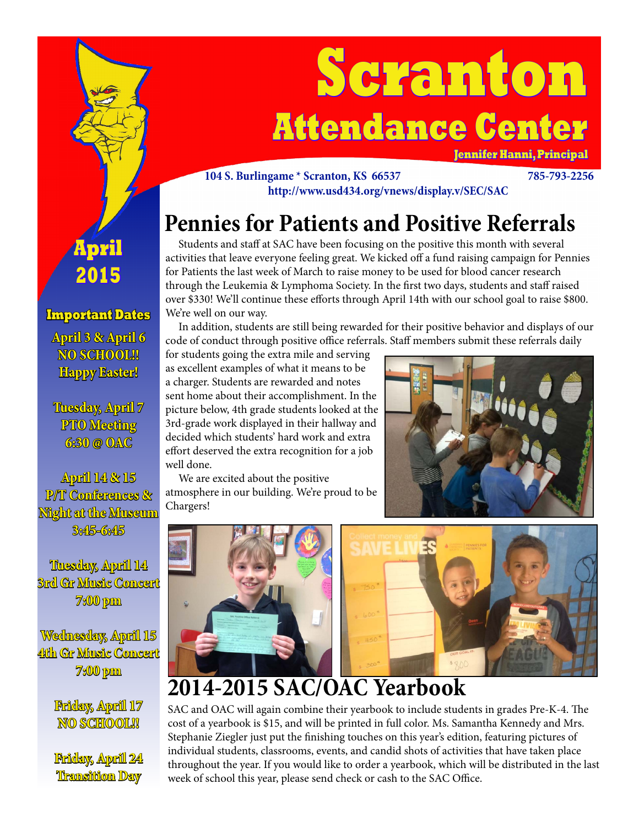

# **Scranton Attendance Center**

**Jennifer Hanni, Principal**

#### **104 S. Burlingame \* Scranton, KS 66537 785-793-2256 http://www.usd434.org/vnews/display.v/SEC/SAC**

## **Pennies for Patients and Positive Referrals**

 Students and staff at SAC have been focusing on the positive this month with several activities that leave everyone feeling great. We kicked off a fund raising campaign for Pennies for Patients the last week of March to raise money to be used for blood cancer research through the Leukemia & Lymphoma Society. In the first two days, students and staff raised over \$330! We'll continue these efforts through April 14th with our school goal to raise \$800. We're well on our way.

 In addition, students are still being rewarded for their positive behavior and displays of our code of conduct through positive office referrals. Staff members submit these referrals daily

for students going the extra mile and serving as excellent examples of what it means to be a charger. Students are rewarded and notes sent home about their accomplishment. In the picture below, 4th grade students looked at the 3rd-grade work displayed in their hallway and decided which students' hard work and extra effort deserved the extra recognition for a job well done.

 We are excited about the positive atmosphere in our building. We're proud to be Chargers!





# **2014-2015 SAC/OAC Yearbook**

SAC and OAC will again combine their yearbook to include students in grades Pre-K-4. The cost of a yearbook is \$15, and will be printed in full color. Ms. Samantha Kennedy and Mrs. Stephanie Ziegler just put the finishing touches on this year's edition, featuring pictures of individual students, classrooms, events, and candid shots of activities that have taken place throughout the year. If you would like to order a yearbook, which will be distributed in the last week of school this year, please send check or cash to the SAC Office.

### **April 2015**

#### **Important Dates**

**April 3 & April 6 NO SCHOOL!! Happy Easter!** 

**Tuesday, April 7 PTO Meeting 6:30 @ OAC**

**April 14 & 15 P/T Conferences & Night at the Museum 3:45-6:45**

**Tuesday, April 14 3rd Gr Music Concert 7:00 pm**

**Wednesday, April 15 4th Gr Music Concert 7:00 pm**

> **Friday, April 17** NO SCHOOL!!

**Friday, April 24 Transition Day**